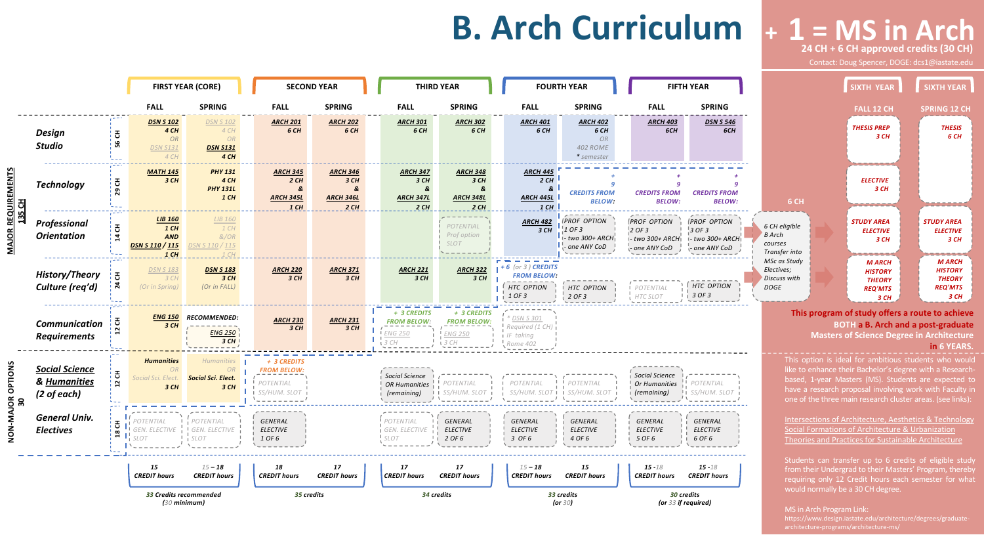#### **[B.](https://catalog.iastate.edu/search/?search=ARCH+302&search-submit=Submit) A[rch](https://catalog.iastate.edu/search/?search=ARCH+401&search-submit=Submit) [Cu](https://catalog.iastate.edu/search/?search=ARCH+402&search-submit=Submit)rr[icu](https://catalog.iastate.edu/search/?search=ARCH+403&search-submit=Submit)l[um](https://catalog.iastate.edu/search/?search=DSN+S+546&search-submit=Submit) Elective Details**

|                                     |                                                                |                            |                                                                       | <b>FIRST YEAR (CORE)</b>                                     |                                                                | <b>SECOND YEAR</b>                                      |                                                             | <b>THIRD YEAR</b>                                                  |  |  |
|-------------------------------------|----------------------------------------------------------------|----------------------------|-----------------------------------------------------------------------|--------------------------------------------------------------|----------------------------------------------------------------|---------------------------------------------------------|-------------------------------------------------------------|--------------------------------------------------------------------|--|--|
|                                     |                                                                |                            | <b>FALL</b>                                                           | <b>SPRING</b>                                                | <b>FALL</b>                                                    | <b>SPRING</b>                                           | <b>FALL</b>                                                 | <b>SPRING</b>                                                      |  |  |
| <u>MAJOR REQUIREMENTS</u><br>135 CH | <b>Design</b><br><b>Studio</b>                                 | 공<br>56                    | <b>DSN S 102</b><br>4 CH<br><b>OR</b><br><b>DSN S131</b><br>4 CH      | <b>DSN S 102</b><br>4 CH<br>OR<br><b>DSN S131</b><br>4 CH    | <b>ARCH 201</b><br>6 CH                                        | <b>ARCH 202</b><br>6 CH                                 | <b>ARCH 301</b><br>6 CH                                     | <b>ARCH 3</b><br>6                                                 |  |  |
|                                     | <b>Technology</b>                                              | 29 CH                      | <b>MATH 145</b><br>3 CH                                               | <b>PHY 131</b><br>4 CH<br><b>PHY 131L</b><br>$1$ CH          | <b>ARCH 345</b><br>2CH<br>&<br><b>ARCH 345L</b><br>1CH         | <b>ARCH 346</b><br>3 CH<br>&<br><b>ARCH 346L</b><br>2CH | <b>ARCH 347</b><br>3 CH<br>&<br><b>ARCH 347L</b><br>2CH     | <b>ARCH3</b><br>3 <sup>1</sup><br><b>ARCH 34</b><br>2 <sup>1</sup> |  |  |
|                                     | Professional<br><b>Orientation</b>                             | 14 CH                      | <b>LIB 160</b><br>$1$ CH<br><b>AND</b><br>DSN S 110 / 115<br>1CH      | LIB 160<br>1 CH<br>&/OR<br>DSN S 110 / 115<br>1 CH           |                                                                |                                                         |                                                             | POTENTIAL<br>Prof option<br><b>SLOT</b>                            |  |  |
|                                     | <b>History/Theory</b><br>Culture (req'd)                       | <b>동</b><br>$\overline{a}$ | <b>DSN S 183</b><br>3 CH<br>(Or in Spring)                            | <b>DSN S 183</b><br>3 CH<br>(Or in FALL)                     | <b>ARCH 220</b><br>3 CH                                        | <b>ARCH 371</b><br>3 CH                                 | <b>ARCH 221</b><br>3 CH                                     | <b>ARCH 3</b><br>3 <sup>1</sup>                                    |  |  |
|                                     | <b>Communication</b><br><b>Requirements</b>                    | 12 CH                      | <b>ENG 150</b><br>3 CH                                                | RECOMMENDED:<br><b>ENG 250</b><br>3 CH                       | <b>ARCH 230</b><br>3 CH                                        | <b>ARCH 231</b><br>3 CH                                 | + 3 CREDITS<br><b>FROM BELOW:</b><br><b>ENG 250</b><br>3 CH | $+ 3$ CRE<br><b>FROM BEL</b><br><b>ENG 250</b><br>3CH              |  |  |
| MAJOR OPTIONS<br>30<br>Ż<br>OZ      | <b>Social Science</b><br>& Humanities<br>$(2 \text{ of each})$ | 12 CH                      | <b>Humanities</b><br><b>OR</b><br>Social Sci. Elect.<br>3 CH          | <b>Humanities</b><br>OR<br><b>Social Sci. Elect.</b><br>3 CH | + 3 CREDITS<br><b>FROM BELOW:</b><br>POTENTIAL<br>SS/HUM. SLOT |                                                         | Social Science<br><b>OR Humanities</b><br>(remaining)       | POTENTIAL<br>I SS/HUM. SI                                          |  |  |
|                                     | <b>General Univ.</b><br><b>Electives</b>                       | Ŧ.<br>18 CI                | POTENTIAL<br><b>GEN. ELECTIVE</b><br>$\mathbf{I}^1$ <sub>I</sub> SLOT | POTENTIAL<br><b>GEN. ELECTIVE</b><br>SLO <sub>1</sub>        | GENERAL<br><b>ELECTIVE</b><br>1 OF 6                           |                                                         | <i>POTENTIAL</i><br><b>GEN. ELECTIVE</b><br><b>SLOT</b>     | GENERAL<br><b>ELECTIVE</b><br>2 OF 6                               |  |  |
|                                     |                                                                |                            | 15<br><b>CREDIT hours</b>                                             | $15 - 18$<br><b>CREDIT hours</b>                             | 18<br><b>CREDIT hours</b>                                      | 17<br><b>CREDIT hours</b>                               | $17\,$<br><b>CREDIT hours</b>                               | 17<br><b>CREDIT hours</b>                                          |  |  |
|                                     |                                                                |                            |                                                                       | 33 Credits recommended<br>$(30$ minimum)                     | 35 credits                                                     |                                                         | 34 credits                                                  |                                                                    |  |  |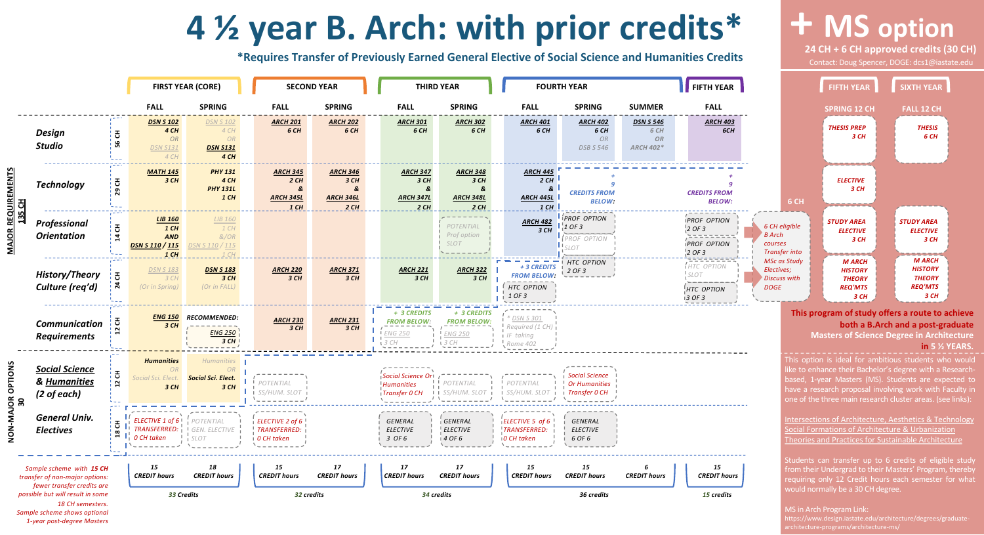# **4 [½](https://catalog.iastate.edu/search/?search=DSN+S+102&search-submit=Submit) y[ea](https://catalog.iastate.edu/search/?search=ARCH+201&search-submit=Submit)r [B.](https://catalog.iastate.edu/search/?search=ARCH+202&search-submit=Submit) A[rch](https://catalog.iastate.edu/search/?search=ARCH+301&search-submit=Submit): [wi](https://catalog.iastate.edu/search/?search=ARCH+302&search-submit=Submit)t[h p](https://catalog.iastate.edu/search/?search=ARCH+401&search-submit=Submit)ri[or](https://catalog.iastate.edu/search/?search=ARCH+402&search-submit=Submit) [cre](https://catalog.iastate.edu/search/?search=DSN+S+546&search-submit=Submit)di[ts\\*](https://catalog.iastate.edu/search/?search=ARCH+403&search-submit=Submit)**

**\*Requires Transfer of Previously Earned General Election Science And Augment** 

|                                                                                      | <b>FIRST YEAR (CORE)</b>                                                                 |                                     |                                                                             |                                                              | <b>SECOND YEAR</b>                                                       | <b>THIRD YEAR</b>                                      |                                                             |                                                                      |  |  |
|--------------------------------------------------------------------------------------|------------------------------------------------------------------------------------------|-------------------------------------|-----------------------------------------------------------------------------|--------------------------------------------------------------|--------------------------------------------------------------------------|--------------------------------------------------------|-------------------------------------------------------------|----------------------------------------------------------------------|--|--|
|                                                                                      |                                                                                          |                                     | <b>FALL</b>                                                                 | <b>SPRING</b>                                                | <b>FALL</b>                                                              | <b>SPRING</b>                                          | <b>FALL</b>                                                 | <b>SPRING</b>                                                        |  |  |
|                                                                                      | <b>Design</b><br><b>Studio</b>                                                           | $\overline{c}$<br>56                | <b>DSN S 102</b><br>4 CH<br>OR<br><b>DSN S131</b><br>4 CH                   | <b>DSN S 102</b><br>4 CH<br>OR<br><b>DSN S131</b><br>4 CH    | <b>ARCH 201</b><br>6 CH                                                  | <b>ARCH 202</b><br>6 CH                                | <b>ARCH 301</b><br>6 CH                                     | <b>ARCH 3</b><br>6 <sub>0</sub>                                      |  |  |
|                                                                                      | <b>Technology</b>                                                                        | 공<br>29                             | <b>MATH 145</b><br>3CH                                                      | <b>PHY 131</b><br>4 CH<br><b>PHY 131L</b><br>$1$ CH          | <b>ARCH 345</b><br>2CH<br>&<br><b>ARCH 345L</b><br>$1$ CH                | <b>ARCH 346</b><br>3CH<br>&<br><b>ARCH 346L</b><br>2CH | <b>ARCH 347</b><br>3CH<br>&<br><b>ARCH 347L</b><br>2CH      | <b>ARCH3</b><br>3 <sup>1</sup><br><b>ARCH 34</b><br>2 <sup>1</sup>   |  |  |
| <b>MAJOR REQUIREMEN</b><br><b>135 CH</b>                                             | Professional<br><b>Orientation</b>                                                       | $\overline{5}$<br>$\overline{4}$    | <b>LIB 160</b><br>1CH<br><b>AND</b><br>DSN S 110 / 115<br>$1$ CH            | LIB 160<br>1 CH<br>&/OR<br>DSN S 110 / 115<br>1 CH           |                                                                          |                                                        |                                                             | POTENTIA<br>Prof option<br><b>SLOT</b>                               |  |  |
|                                                                                      | History/Theory<br>Culture (req'd)                                                        | $\overline{c}$<br>$\overline{a}$    | <b>DSN S 183</b><br>3 CH<br>(Or in Spring)                                  | <b>DSN S 183</b><br>3CH<br>(Or in FALL)                      | <b>ARCH 220</b><br>3 CH                                                  | <b>ARCH 371</b><br>3CH                                 | <b>ARCH 221</b><br>3 CH                                     | <b>ARCH 3</b><br>3 <sup>l</sup>                                      |  |  |
|                                                                                      | <b>Communication</b><br><b>Requirements</b>                                              | ᅗ<br>$\mathbf{r}$                   | <b>ENG 150</b><br>3 CH                                                      | RECOMMENDED:<br><b>ENG 250</b><br>3CH                        | <b>ARCH 230</b><br>3 CH                                                  | <b>ARCH 231</b><br>3 CH                                | + 3 CREDITS<br><b>FROM BELOW:</b><br><b>ENG 250</b><br>3 CH | $+ 3$ CRE<br><b>FROM BEL</b><br><b>ENG 250</b><br>$\frac{1}{1}$ 3 CH |  |  |
| <b>OPTIONS</b>                                                                       | <b>Social Science</b><br>& Humanities<br>$(2 \text{ of each})$                           | 12 CH                               | <b>Humanities</b><br>OR<br>Social Sci. Elect.<br>3 CH                       | Humanities<br><b>OR</b><br><b>Social Sci. Elect.</b><br>3 CH | POTENTIAL<br>SS/HUM. SLOT                                                |                                                        | Social Science Orl<br>Humanities<br>Transfer 0 CH           | POTENTIA<br>$1 + SS/HUM$ .                                           |  |  |
| MAJOR<br>30<br>z<br>OZ                                                               | <b>General Univ.</b><br><b>Electives</b>                                                 | 工<br>18 <sub>CI</sub><br>$\sim$ $-$ | ELECTIVE 1 of 6!<br>TRANSFERRED:<br>$\mathsf{I}^{\perp}_{\perp}$ 0 CH taken | POTENTIAL<br>! GEN. ELECTIVE<br><i>i</i> SLOT                | ELECTIVE 2 of 6 $\frac{1}{2}$<br>TRANSFERRED:<br>$\overline{0}$ CH taken |                                                        | GENERAL<br><b>ELECTIVE</b><br>3 OF 6                        | GENERAL<br>ELECTIVE<br>$4$ OF 6                                      |  |  |
|                                                                                      | Sample scheme with 15 CH<br>transfer of non-major options:<br>fewer transfer credits are |                                     | 15<br><b>CREDIT hours</b>                                                   | 18<br><b>CREDIT hours</b>                                    | 15<br><b>CREDIT hours</b>                                                | 17<br><b>CREDIT hours</b>                              | 17<br><b>CREDIT hours</b>                                   | 17<br><b>CREDIT hours</b>                                            |  |  |
| possible but will result in some<br>18 CH semesters.<br>Sample scheme shows optional |                                                                                          |                                     |                                                                             | 33 Credits                                                   | 32 credits                                                               |                                                        |                                                             | 34 credits                                                           |  |  |

*1-year post-degree Masters*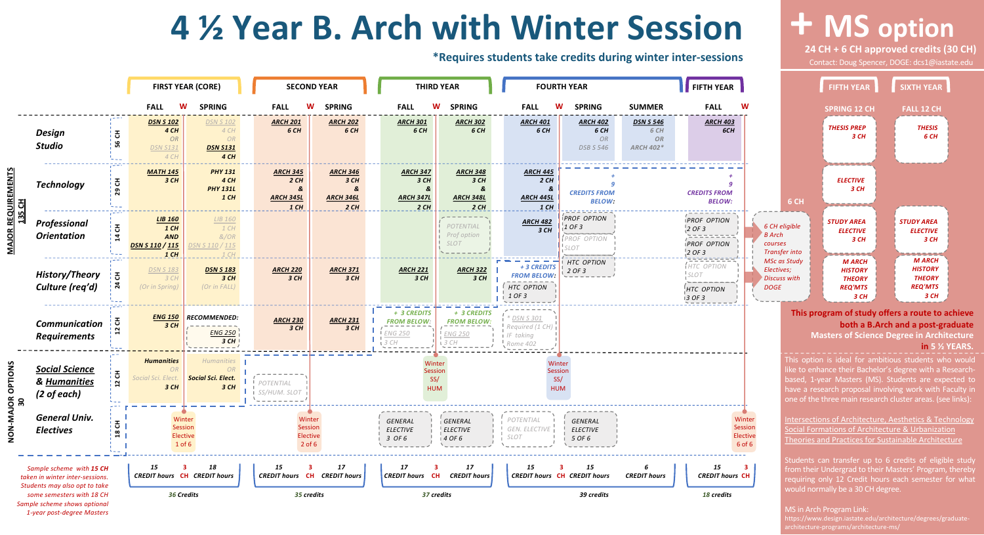## **[4](https://catalog.iastate.edu/search/?search=DSN+S+102&search-submit=Submit) [½ Y](https://catalog.iastate.edu/search/?search=DSN+S+102&search-submit=Submit)[ear](https://catalog.iastate.edu/search/?search=ARCH+201&search-submit=Submit) [B. A](https://catalog.iastate.edu/search/?search=ARCH+202&search-submit=Submit)r[ch](https://catalog.iastate.edu/search/?search=ARCH+301&search-submit=Submit) [with](https://catalog.iastate.edu/search/?search=ARCH+302&search-submit=Submit) [Wi](https://catalog.iastate.edu/search/?search=ARCH+401&search-submit=Submit)n[ter](https://catalog.iastate.edu/search/?search=ARCH+402&search-submit=Submit) [Se](https://catalog.iastate.edu/search/?search=DSN+S+546&search-submit=Submit)ssi[on](https://catalog.iastate.edu/search/?search=ARCH+403&search-submit=Submit)**

#### $*$ **Require**

|                         | <b>FIRST YEAR (CORE)</b>                                                                     |                                  |                                                                                                                      |                                                           |                                                           | <b>SECOND YEAR</b>                                     |                                                             | <b>THIRD YEAR</b>                                                  |  |  |  |
|-------------------------|----------------------------------------------------------------------------------------------|----------------------------------|----------------------------------------------------------------------------------------------------------------------|-----------------------------------------------------------|-----------------------------------------------------------|--------------------------------------------------------|-------------------------------------------------------------|--------------------------------------------------------------------|--|--|--|
|                         |                                                                                              |                                  | W<br><b>FALL</b>                                                                                                     | <b>SPRING</b>                                             | W<br><b>FALL</b>                                          | <b>SPRING</b>                                          | <b>FALL</b>                                                 | W<br><b>SPRING</b>                                                 |  |  |  |
|                         | <b>Design</b><br><b>Studio</b>                                                               | $\overline{c}$<br>56             | <b>DSN S 102</b><br>4 CH<br><b>OR</b><br><b>DSN S131</b><br>4 CH                                                     | <b>DSN S 102</b><br>4 CH<br>OR<br><b>DSN S131</b><br>4 CH | <b>ARCH 201</b><br>6 CH                                   | <b>ARCH 202</b><br>6 CH                                | <b>ARCH 301</b><br>6 CH                                     | <b>ARCH 3</b><br>6 <sub>0</sub>                                    |  |  |  |
| 135 CH                  | <b>Technology</b>                                                                            | 29 CH                            | <b>MATH 145</b><br>3 CH                                                                                              | <b>PHY 131</b><br>4 CH<br><b>PHY 131L</b><br>$1$ CH       | <b>ARCH 345</b><br>2CH<br>&<br><b>ARCH 345L</b><br>$1$ CH | <b>ARCH 346</b><br>3CH<br>&<br><b>ARCH 346L</b><br>2CH | <b>ARCH 347</b><br>3CH<br>&<br><b>ARCH 347L</b><br>2CH      | <b>ARCH3</b><br>3 <sup>1</sup><br><b>ARCH 34</b><br>$\overline{2}$ |  |  |  |
| <b>MAJOR REQUIREMEN</b> | Professional<br><b>Orientation</b>                                                           | $\overline{c}$<br>$\mathbf{z}$   | <b>LIB 160</b><br>$1$ CH<br><b>AND</b><br>DSN S 110 / 115<br>1CH                                                     | LIB 160<br>1 CH<br>&/OR<br>DSN S 110 / 115<br>1CH         |                                                           |                                                        |                                                             | POTENTIA<br>Prof option<br><b>SLOT</b>                             |  |  |  |
|                         | History/Theory<br>Culture (req'd)                                                            | $\overline{c}$<br>$\overline{a}$ | <b>DSN S 183</b><br>3 CH<br>(Or in Spring)                                                                           | <b>DSN S 183</b><br>3 CH<br>(Or in FALL)                  | <b>ARCH 220</b><br>3 CH                                   | <b>ARCH 371</b><br>3CH                                 | <b>ARCH 221</b><br>3 CH                                     | <b>ARCH 3</b><br>3 <sup>l</sup>                                    |  |  |  |
|                         | <b>Communication</b><br><b>Requirements</b>                                                  | 공<br>$\overline{a}$              | <b>ENG 150</b><br>3 CH                                                                                               | RECOMMENDED:<br><b>ENG 250</b><br>3CH                     | <b>ARCH 230</b><br>3 CH                                   | <b>ARCH 231</b><br>3 CH                                | + 3 CREDITS<br><b>FROM BELOW:</b><br><b>ENG 250</b><br>3 CH | $+ 3$ CRE<br><b>FROM BEL</b><br><b>ENG 250</b><br>3CH              |  |  |  |
| <b>OPTIONS</b>          | <b>Social Science</b><br>& Humanities<br>$(2 \text{ of each})$                               | $\frac{1}{12}$ CH                | <b>Humanities</b><br>Humanities<br>OR<br><b>OR</b><br>Social Sci. Elect.<br><b>Social Sci. Elect.</b><br>3 CH<br>3CH |                                                           | POTENTIAL<br>SS/HUM. SLOT                                 |                                                        | Winter<br>Session<br>SS/<br><b>HUM</b>                      |                                                                    |  |  |  |
| MAJOR<br>30<br>NON-     | <b>General Univ.</b><br><b>Electives</b>                                                     | 18 CH<br>---                     | Winter<br>Session<br>Elective<br>$1$ of $6$                                                                          |                                                           |                                                           | Winter<br>Session<br>Elective<br>$2$ of 6              |                                                             | GENERAL<br><b>ELECTIVE</b><br>$4$ OF 6                             |  |  |  |
|                         | Sample scheme with 15 CH<br>taken in winter inter-sessions.<br>Students may also opt to take |                                  | 15<br>3<br><b>CREDIT hours</b> CH CREDIT hours                                                                       | 18                                                        | 15<br>$\overline{\mathbf{3}}$<br><b>CREDIT hours CH</b>   | 17<br><b>CREDIT hours</b>                              | 17<br><b>CREDIT hours</b>                                   | 3<br>17<br>CH<br><b>CREDIT he</b><br>37 credits                    |  |  |  |
|                         | some semesters with 18 CH<br>Sample scheme shows optional<br>1-year post-degree Masters      |                                  | 36 Credits                                                                                                           |                                                           | 35 credits                                                |                                                        |                                                             |                                                                    |  |  |  |

ľ